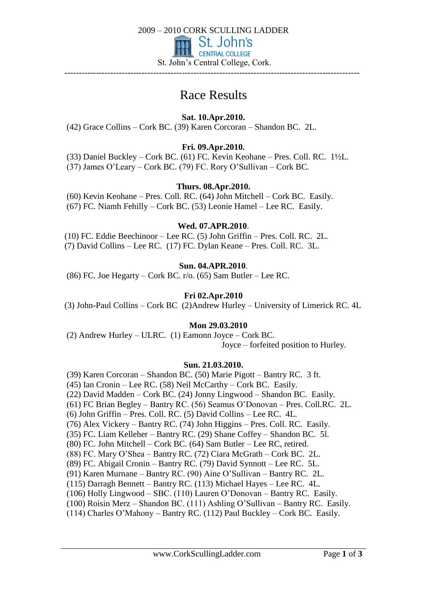

# Race Results

**Sat. 10.Apr.2010.**

(42) Grace Collins – Cork BC. (39) Karen Corcoran – Shandon BC. 2L.

# **Fri. 09.Apr.2010.**

(33) Daniel Buckley – Cork BC. (61) FC. Kevin Keohane – Pres. Coll. RC. 1½L. (37) James O'Leary – Cork BC. (79) FC. Rory O'Sullivan – Cork BC.

# **Thurs. 08.Apr.2010.**

(60) Kevin Keohane – Pres. Coll. RC. (64) John Mitchell – Cork BC. Easily. (67) FC. Niamh Fehilly – Cork BC. (53) Leonie Hamel – Lee RC. Easily.

### **Wed. 07.APR.2010**.

(10) FC. Eddie Beechinoor – Lee RC. (5) John Griffin – Pres. Coll. RC. 2L. (7) David Collins – Lee RC. (17) FC. Dylan Keane – Pres. Coll. RC. 3L.

# **Sun. 04.APR.2010**.

(86) FC. Joe Hegarty – Cork BC. r/o. (65) Sam Butler – Lee RC.

# **Fri 02.Apr.2010**

(3) John-Paul Collins – Cork BC (2)Andrew Hurley – University of Limerick RC. 4L

### **Mon 29.03.2010**

(2) Andrew Hurley – ULRC. (1) Eamonn Joyce – Cork BC.

Joyce – forfeited position to Hurley.

### **Sun. 21.03.2010.**

(39) Karen Corcoran – Shandon BC. (50) Marie Pigott – Bantry RC. 3 ft. (45) Ian Cronin – Lee RC. (58) Neil McCarthy – Cork BC. Easily. (22) David Madden – Cork BC. (24) Jonny Lingwood – Shandon BC. Easily. (61) FC Brian Begley – Bantry RC. (56) Seamus O'Donovan – Pres. Coll.RC. 2L. (6) John Griffin – Pres. Coll. RC. (5) David Collins – Lee RC. 4L. (76) Alex Vickery – Bantry RC. (74) John Higgins – Pres. Coll. RC. Easily. (35) FC. Liam Kelleher – Bantry RC. (29) Shane Coffey – Shandon BC. 5l. (80) FC. John Mitchell – Cork BC. (64) Sam Butler – Lee RC, retired. (88) FC. Mary O'Shea – Bantry RC. (72) Ciara McGrath – Cork BC. 2L. (89) FC. Abigail Cronin – Bantry RC. (79) David Synnott – Lee RC. 5L. (91) Karen Murnane – Bantry RC. (90) Aine O'Sullivan – Bantry RC. 2L. (115) Darragh Bennett – Bantry RC. (113) Michael Hayes – Lee RC. 4L. (106) Holly Lingwood – SBC. (110) Lauren O'Donovan – Bantry RC. Easily. (100) Roisin Merz – Shandon BC. (111) Ashling O'Sullivan – Bantry RC. Easily. (114) Charles O'Mahony – Bantry RC. (112) Paul Buckley – Cork BC. Easily.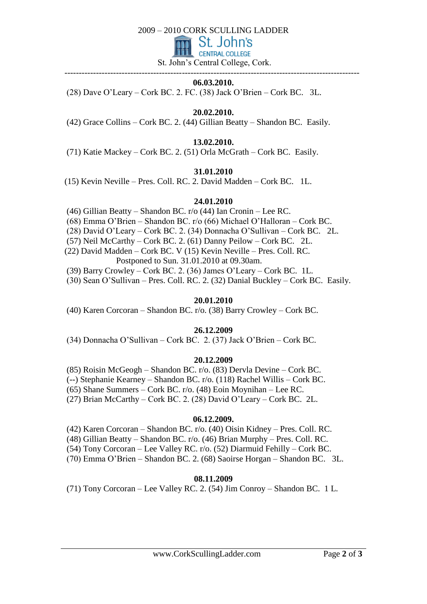#### 2009 – 2010 CORK SCULLING LADDER



St. John's Central College, Cork.

#### ------------------------------------------------------------------------------------------------------- **06.03.2010.**

(28) Dave O'Leary – Cork BC. 2. FC. (38) Jack O'Brien – Cork BC. 3L.

## **20.02.2010.**

(42) Grace Collins – Cork BC. 2. (44) Gillian Beatty – Shandon BC. Easily.

# **13.02.2010.**

(71) Katie Mackey – Cork BC. 2. (51) Orla McGrath – Cork BC. Easily.

### **31.01.2010**

(15) Kevin Neville – Pres. Coll. RC. 2. David Madden – Cork BC. 1L.

### **24.01.2010**

(46) Gillian Beatty – Shandon BC. r/o (44) Ian Cronin – Lee RC.

- (68) Emma O'Brien Shandon BC. r/o (66) Michael O'Halloran Cork BC.
- (28) David O'Leary Cork BC. 2. (34) Donnacha O'Sullivan Cork BC. 2L.

(57) Neil McCarthy – Cork BC. 2. (61) Danny Peilow – Cork BC. 2L.

(22) David Madden – Cork BC. V (15) Kevin Neville – Pres. Coll. RC.

Postponed to Sun. 31.01.2010 at 09.30am.

(39) Barry Crowley – Cork BC. 2. (36) James O'Leary – Cork BC. 1L.

(30) Sean O'Sullivan – Pres. Coll. RC. 2. (32) Danial Buckley – Cork BC. Easily.

#### **20.01.2010**

(40) Karen Corcoran – Shandon BC. r/o. (38) Barry Crowley – Cork BC.

### **26.12.2009**

(34) Donnacha O'Sullivan – Cork BC. 2. (37) Jack O'Brien – Cork BC.

### **20.12.2009**

(85) Roisin McGeogh – Shandon BC. r/o. (83) Dervla Devine – Cork BC.

(--) Stephanie Kearney – Shandon BC. r/o. (118) Rachel Willis – Cork BC.

(65) Shane Summers – Cork BC. r/o. (48) Eoin Moynihan – Lee RC.

(27) Brian McCarthy – Cork BC. 2. (28) David O'Leary – Cork BC. 2L.

### **06.12.2009.**

(42) Karen Corcoran – Shandon BC. r/o. (40) Oisin Kidney – Pres. Coll. RC.

(48) Gillian Beatty – Shandon BC. r/o. (46) Brian Murphy – Pres. Coll. RC.

(54) Tony Corcoran – Lee Valley RC. r/o. (52) Diarmuid Fehilly – Cork BC.

(70) Emma O'Brien – Shandon BC. 2. (68) Saoirse Horgan – Shandon BC. 3L.

### **08.11.2009**

(71) Tony Corcoran – Lee Valley RC. 2. (54) Jim Conroy – Shandon BC. 1 L.